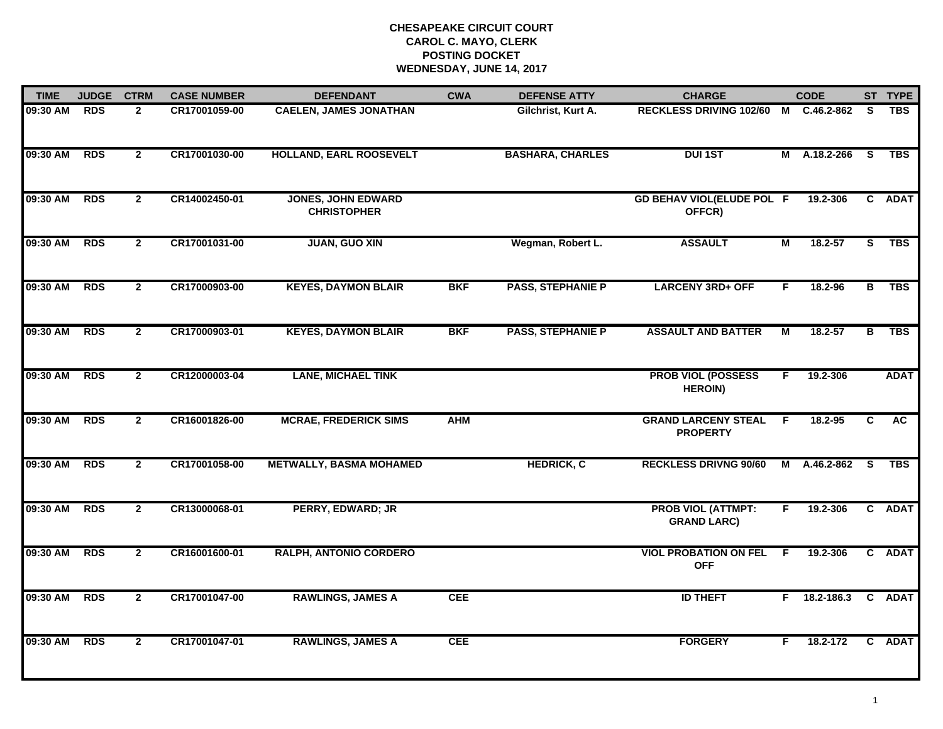| <b>TIME</b>  | <b>JUDGE</b> | <b>CTRM</b>    | <b>CASE NUMBER</b> | <b>DEFENDANT</b>                                | <b>CWA</b> | <b>DEFENSE ATTY</b>      | <b>CHARGE</b>                                   |    | <b>CODE</b>    |          | ST TYPE     |
|--------------|--------------|----------------|--------------------|-------------------------------------------------|------------|--------------------------|-------------------------------------------------|----|----------------|----------|-------------|
| 09:30 AM     | <b>RDS</b>   | $\overline{2}$ | CR17001059-00      | <b>CAELEN, JAMES JONATHAN</b>                   |            | Gilchrist, Kurt A.       | <b>RECKLESS DRIVING 102/60</b>                  | M  | C.46.2-862     | <b>S</b> | <b>TBS</b>  |
| 09:30 AM     | <b>RDS</b>   | $\mathbf{2}$   | CR17001030-00      | <b>HOLLAND, EARL ROOSEVELT</b>                  |            | <b>BASHARA, CHARLES</b>  | <b>DUI1ST</b>                                   |    | M A.18.2-266 S |          | <b>TBS</b>  |
| 09:30 AM RDS |              | $\mathbf{2}$   | CR14002450-01      | <b>JONES, JOHN EDWARD</b><br><b>CHRISTOPHER</b> |            |                          | <b>GD BEHAV VIOL(ELUDE POL F</b><br>OFFCR)      |    | 19.2-306       |          | C ADAT      |
| 09:30 AM     | <b>RDS</b>   | $\mathbf{2}$   | CR17001031-00      | <b>JUAN, GUO XIN</b>                            |            | Wegman, Robert L.        | <b>ASSAULT</b>                                  | Μ  | $18.2 - 57$    | S        | <b>TBS</b>  |
| 09:30 AM     | <b>RDS</b>   | $\mathbf{2}$   | CR17000903-00      | <b>KEYES, DAYMON BLAIR</b>                      | <b>BKF</b> | <b>PASS, STEPHANIE P</b> | <b>LARCENY 3RD+ OFF</b>                         | F. | 18.2-96        | B        | <b>TBS</b>  |
| 09:30 AM     | <b>RDS</b>   | $\overline{2}$ | CR17000903-01      | <b>KEYES, DAYMON BLAIR</b>                      | <b>BKF</b> | <b>PASS, STEPHANIE P</b> | <b>ASSAULT AND BATTER</b>                       | М  | 18.2-57        | в        | <b>TBS</b>  |
| 09:30 AM     | <b>RDS</b>   | $\overline{2}$ | CR12000003-04      | <b>LANE, MICHAEL TINK</b>                       |            |                          | <b>PROB VIOL (POSSESS</b><br><b>HEROIN)</b>     | F  | 19.2-306       |          | <b>ADAT</b> |
| 09:30 AM     | <b>RDS</b>   | $\mathbf{2}$   | CR16001826-00      | <b>MCRAE, FREDERICK SIMS</b>                    | <b>AHM</b> |                          | <b>GRAND LARCENY STEAL</b><br><b>PROPERTY</b>   | -F | 18.2-95        | C        | <b>AC</b>   |
| 09:30 AM     | <b>RDS</b>   | $\mathbf{2}$   | CR17001058-00      | <b>METWALLY, BASMA MOHAMED</b>                  |            | <b>HEDRICK, C</b>        | <b>RECKLESS DRIVNG 90/60</b>                    | M  | A.46.2-862     | S.       | <b>TBS</b>  |
| 09:30 AM     | <b>RDS</b>   | $\mathbf{2}$   | CR13000068-01      | PERRY, EDWARD; JR                               |            |                          | <b>PROB VIOL (ATTMPT:</b><br><b>GRAND LARC)</b> | F. | 19.2-306       |          | C ADAT      |
| 09:30 AM     | <b>RDS</b>   | $\overline{2}$ | CR16001600-01      | <b>RALPH, ANTONIO CORDERO</b>                   |            |                          | <b>VIOL PROBATION ON FEL F</b><br><b>OFF</b>    |    | 19.2-306       |          | C ADAT      |
| 09:30 AM     | <b>RDS</b>   | $\overline{2}$ | CR17001047-00      | <b>RAWLINGS, JAMES A</b>                        | <b>CEE</b> |                          | <b>ID THEFT</b>                                 |    | $F$ 18.2-186.3 |          | C ADAT      |
| 09:30 AM     | <b>RDS</b>   | $\mathbf{2}$   | CR17001047-01      | <b>RAWLINGS, JAMES A</b>                        | CEE        |                          | <b>FORGERY</b>                                  | F. | 18.2-172       |          | C ADAT      |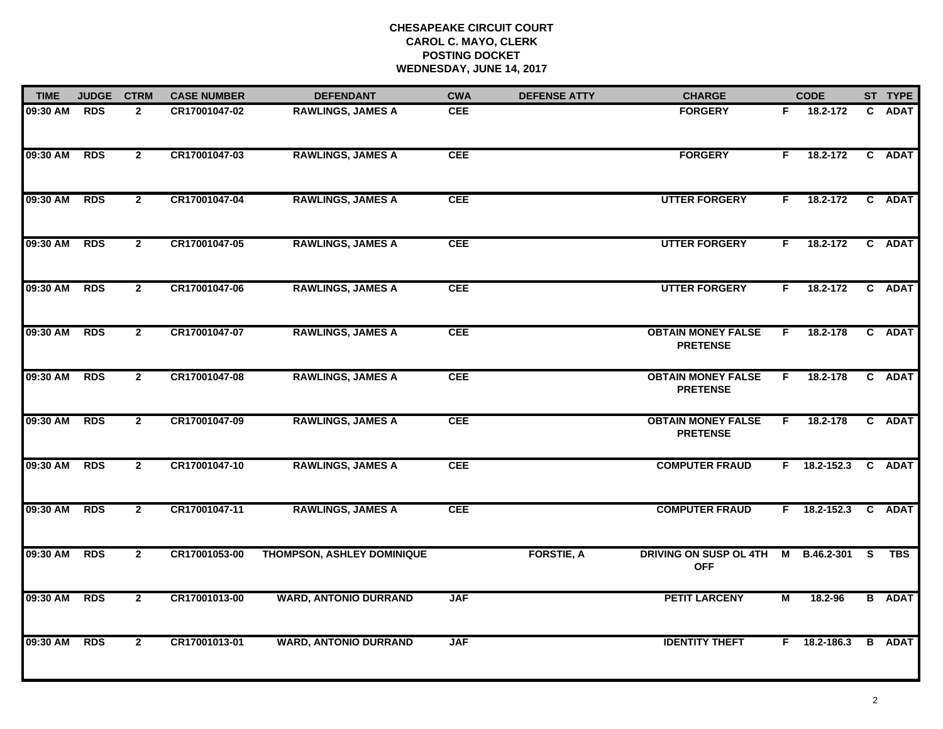| <b>TIME</b>  | <b>JUDGE</b> | <b>CTRM</b>    | <b>CASE NUMBER</b> | <b>DEFENDANT</b>                  | <b>CWA</b> | <b>DEFENSE ATTY</b> | <b>CHARGE</b>                                       |                         | <b>CODE</b>         | ST TYPE       |
|--------------|--------------|----------------|--------------------|-----------------------------------|------------|---------------------|-----------------------------------------------------|-------------------------|---------------------|---------------|
| 09:30 AM     | <b>RDS</b>   | $\mathbf{2}$   | CR17001047-02      | <b>RAWLINGS, JAMES A</b>          | <b>CEE</b> |                     | <b>FORGERY</b>                                      | F.                      | 18.2-172            | C ADAT        |
| 09:30 AM RDS |              | $\overline{2}$ | CR17001047-03      | <b>RAWLINGS, JAMES A</b>          | <b>CEE</b> |                     | <b>FORGERY</b>                                      | F.                      | 18.2-172            | C ADAT        |
| 09:30 AM RDS |              | $\overline{2}$ | CR17001047-04      | <b>RAWLINGS, JAMES A</b>          | <b>CEE</b> |                     | <b>UTTER FORGERY</b>                                | F.                      | 18.2-172            | C ADAT        |
| 09:30 AM     | <b>RDS</b>   | $\mathbf{2}$   | CR17001047-05      | <b>RAWLINGS, JAMES A</b>          | <b>CEE</b> |                     | <b>UTTER FORGERY</b>                                | F.                      | 18.2-172            | C ADAT        |
| 09:30 AM     | <b>RDS</b>   | $\overline{2}$ | CR17001047-06      | <b>RAWLINGS, JAMES A</b>          | <b>CEE</b> |                     | <b>UTTER FORGERY</b>                                | F.                      | 18.2-172            | C ADAT        |
| 09:30 AM     | <b>RDS</b>   | $\mathbf{2}$   | CR17001047-07      | <b>RAWLINGS, JAMES A</b>          | <b>CEE</b> |                     | <b>OBTAIN MONEY FALSE</b><br><b>PRETENSE</b>        | F.                      | 18.2-178            | C ADAT        |
| 09:30 AM     | <b>RDS</b>   | $\overline{2}$ | CR17001047-08      | <b>RAWLINGS, JAMES A</b>          | <b>CEE</b> |                     | <b>OBTAIN MONEY FALSE</b><br><b>PRETENSE</b>        | F                       | 18.2-178            | C ADAT        |
| 09:30 AM RDS |              | $\mathbf{2}$   | CR17001047-09      | <b>RAWLINGS, JAMES A</b>          | <b>CEE</b> |                     | <b>OBTAIN MONEY FALSE</b><br><b>PRETENSE</b>        | F.                      | 18.2-178            | C ADAT        |
| 09:30 AM     | <b>RDS</b>   | $\mathbf{2}$   | CR17001047-10      | <b>RAWLINGS, JAMES A</b>          | <b>CEE</b> |                     | <b>COMPUTER FRAUD</b>                               |                         | F 18.2-152.3 C ADAT |               |
| 09:30 AM     | <b>RDS</b>   | $\overline{2}$ | CR17001047-11      | <b>RAWLINGS, JAMES A</b>          | <b>CEE</b> |                     | <b>COMPUTER FRAUD</b>                               |                         | $F$ 18.2-152.3      | C ADAT        |
| 09:30 AM RDS |              | $\overline{2}$ | CR17001053-00      | <b>THOMPSON, ASHLEY DOMINIQUE</b> |            | <b>FORSTIE, A</b>   | DRIVING ON SUSP OL 4TH M B.46.2-301 S<br><b>OFF</b> |                         |                     | TBS           |
| 09:30 AM     | <b>RDS</b>   | $\overline{2}$ | CR17001013-00      | <b>WARD, ANTONIO DURRAND</b>      | <b>JAF</b> |                     | <b>PETIT LARCENY</b>                                | $\overline{\mathsf{M}}$ | 18.2-96             | <b>B</b> ADAT |
| 09:30 AM     | <b>RDS</b>   | $\mathbf{2}$   | CR17001013-01      | <b>WARD, ANTONIO DURRAND</b>      | <b>JAF</b> |                     | <b>IDENTITY THEFT</b>                               |                         | F 18.2-186.3        | <b>B</b> ADAT |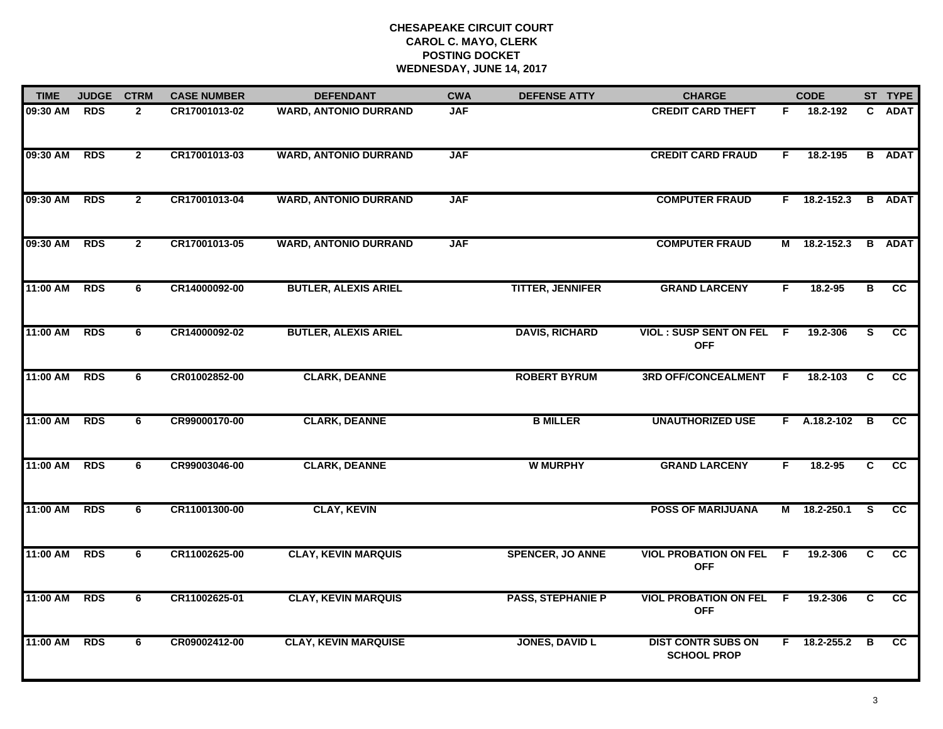| <b>TIME</b> | <b>JUDGE</b> | <b>CTRM</b>    | <b>CASE NUMBER</b> | <b>DEFENDANT</b>             | <b>CWA</b> | <b>DEFENSE ATTY</b>      | <b>CHARGE</b>                                   |              | <b>CODE</b>    |                | ST TYPE                |
|-------------|--------------|----------------|--------------------|------------------------------|------------|--------------------------|-------------------------------------------------|--------------|----------------|----------------|------------------------|
| 09:30 AM    | <b>RDS</b>   | $\mathbf{2}$   | CR17001013-02      | <b>WARD, ANTONIO DURRAND</b> | <b>JAF</b> |                          | <b>CREDIT CARD THEFT</b>                        | F.           | 18.2-192       | C.             | <b>ADAT</b>            |
| 09:30 AM    | <b>RDS</b>   | $\overline{2}$ | CR17001013-03      | <b>WARD, ANTONIO DURRAND</b> | <b>JAF</b> |                          | <b>CREDIT CARD FRAUD</b>                        | F.           | 18.2-195       |                | <b>B</b> ADAT          |
| 09:30 AM    | <b>RDS</b>   | $\overline{2}$ | CR17001013-04      | <b>WARD, ANTONIO DURRAND</b> | <b>JAF</b> |                          | <b>COMPUTER FRAUD</b>                           |              | $F$ 18.2-152.3 |                | <b>B</b> ADAT          |
| 09:30 AM    | <b>RDS</b>   | $\mathbf{2}$   | CR17001013-05      | <b>WARD, ANTONIO DURRAND</b> | <b>JAF</b> |                          | <b>COMPUTER FRAUD</b>                           | М            | 18.2-152.3     |                | <b>B</b> ADAT          |
| 11:00 AM    | <b>RDS</b>   | 6              | CR14000092-00      | <b>BUTLER, ALEXIS ARIEL</b>  |            | <b>TITTER, JENNIFER</b>  | <b>GRAND LARCENY</b>                            | F.           | $18.2 - 95$    | в              | <b>CC</b>              |
| 11:00 AM    | <b>RDS</b>   | 6              | CR14000092-02      | <b>BUTLER, ALEXIS ARIEL</b>  |            | <b>DAVIS, RICHARD</b>    | <b>VIOL: SUSP SENT ON FEL</b><br><b>OFF</b>     | - F          | 19.2-306       | S              | $\overline{cc}$        |
| 11:00 AM    | <b>RDS</b>   | 6              | CR01002852-00      | <b>CLARK, DEANNE</b>         |            | <b>ROBERT BYRUM</b>      | <b>3RD OFF/CONCEALMENT</b>                      | F.           | 18.2-103       | C              | cc                     |
| 11:00 AM    | <b>RDS</b>   | 6              | CR99000170-00      | <b>CLARK, DEANNE</b>         |            | <b>B MILLER</b>          | <b>UNAUTHORIZED USE</b>                         |              | $F$ A.18.2-102 | $\overline{B}$ | cc                     |
| 11:00 AM    | <b>RDS</b>   | 6              | CR99003046-00      | <b>CLARK, DEANNE</b>         |            | <b>W MURPHY</b>          | <b>GRAND LARCENY</b>                            | F.           | 18.2-95        | C.             | cc                     |
| 11:00 AM    | <b>RDS</b>   | 6              | CR11001300-00      | <b>CLAY, KEVIN</b>           |            |                          | <b>POSS OF MARIJUANA</b>                        | М            | 18.2-250.1     | S              | <b>CC</b>              |
| 11:00 AM    | <b>RDS</b>   | 6              | CR11002625-00      | <b>CLAY, KEVIN MARQUIS</b>   |            | <b>SPENCER, JO ANNE</b>  | <b>VIOL PROBATION ON FEL</b><br><b>OFF</b>      | F.           | 19.2-306       | C              | $\overline{\text{cc}}$ |
| 11:00 AM    | <b>RDS</b>   | 6              | CR11002625-01      | <b>CLAY, KEVIN MARQUIS</b>   |            | <b>PASS, STEPHANIE P</b> | <b>VIOL PROBATION ON FEL</b><br><b>OFF</b>      | $\mathsf{F}$ | 19.2-306       | C              | cc                     |
| 11:00 AM    | <b>RDS</b>   | 6              | CR09002412-00      | <b>CLAY, KEVIN MARQUISE</b>  |            | <b>JONES, DAVID L</b>    | <b>DIST CONTR SUBS ON</b><br><b>SCHOOL PROP</b> |              | $F$ 18.2-255.2 | B              | $\overline{cc}$        |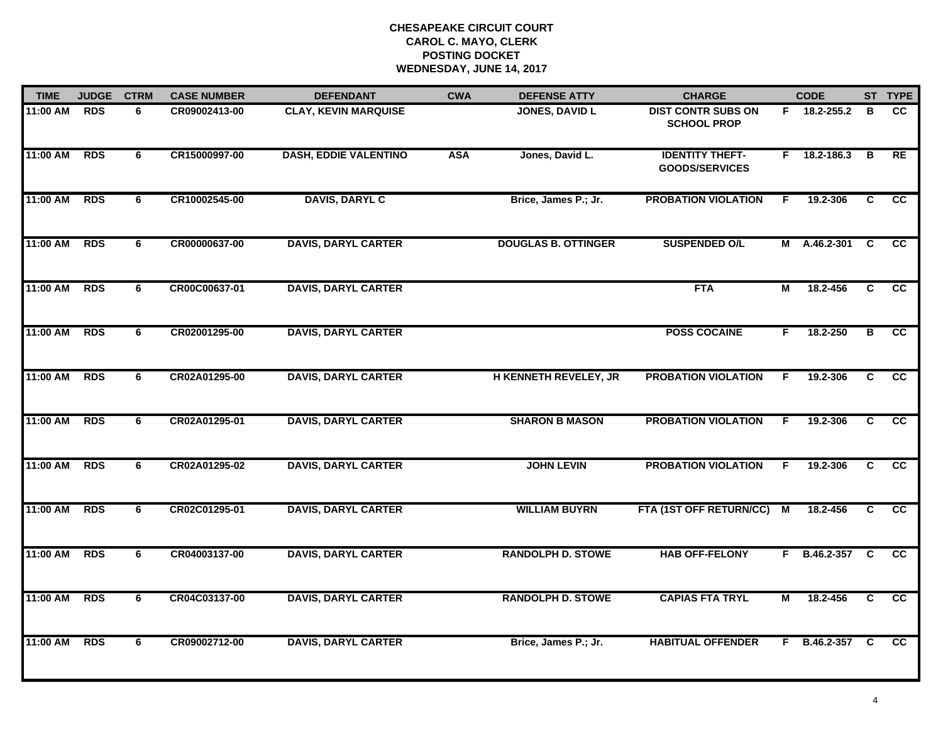| <b>TIME</b> | <b>JUDGE</b> | <b>CTRM</b>    | <b>CASE NUMBER</b> | <b>DEFENDANT</b>             | <b>CWA</b> | <b>DEFENSE ATTY</b>          | <b>CHARGE</b>                                   |    | <b>CODE</b>    |                         | ST TYPE         |
|-------------|--------------|----------------|--------------------|------------------------------|------------|------------------------------|-------------------------------------------------|----|----------------|-------------------------|-----------------|
| 11:00 AM    | <b>RDS</b>   | 6              | CR09002413-00      | <b>CLAY, KEVIN MARQUISE</b>  |            | <b>JONES, DAVID L</b>        | <b>DIST CONTR SUBS ON</b><br><b>SCHOOL PROP</b> |    | $F$ 18.2-255.2 | в                       | CC.             |
| 11:00 AM    | <b>RDS</b>   | 6              | CR15000997-00      | <b>DASH, EDDIE VALENTINO</b> | <b>ASA</b> | Jones, David L.              | <b>IDENTITY THEFT-</b><br><b>GOODS/SERVICES</b> | F. | 18.2-186.3     | $\overline{\mathbf{B}}$ | RE              |
| 11:00 AM    | <b>RDS</b>   | 6              | CR10002545-00      | <b>DAVIS, DARYL C</b>        |            | Brice, James P.; Jr.         | <b>PROBATION VIOLATION</b>                      | F  | 19.2-306       | C                       | cc              |
| 11:00 AM    | <b>RDS</b>   | 6              | CR00000637-00      | <b>DAVIS, DARYL CARTER</b>   |            | <b>DOUGLAS B. OTTINGER</b>   | <b>SUSPENDED O/L</b>                            | М  | A.46.2-301     | <b>C</b>                | <b>CC</b>       |
| 11:00 AM    | <b>RDS</b>   | 6              | CR00C00637-01      | <b>DAVIS, DARYL CARTER</b>   |            |                              | <b>FTA</b>                                      | М  | 18.2-456       | C                       | cc              |
| 11:00 AM    | <b>RDS</b>   | 6              | CR02001295-00      | <b>DAVIS, DARYL CARTER</b>   |            |                              | <b>POSS COCAINE</b>                             | F. | 18.2-250       | $\overline{B}$          | $\overline{cc}$ |
| 11:00 AM    | <b>RDS</b>   | 6              | CR02A01295-00      | <b>DAVIS, DARYL CARTER</b>   |            | <b>H KENNETH REVELEY, JR</b> | <b>PROBATION VIOLATION</b>                      | F. | 19.2-306       | C                       | cc              |
| 11:00 AM    | <b>RDS</b>   | 6              | CR02A01295-01      | <b>DAVIS, DARYL CARTER</b>   |            | <b>SHARON B MASON</b>        | <b>PROBATION VIOLATION</b>                      | F  | 19.2-306       | C                       | cc              |
| 11:00 AM    | <b>RDS</b>   | 6              | CR02A01295-02      | <b>DAVIS, DARYL CARTER</b>   |            | <b>JOHN LEVIN</b>            | <b>PROBATION VIOLATION</b>                      | F  | 19.2-306       | C                       | <b>CC</b>       |
| 11:00 AM    | <b>RDS</b>   | 6              | CR02C01295-01      | <b>DAVIS, DARYL CARTER</b>   |            | <b>WILLIAM BUYRN</b>         | FTA (1ST OFF RETURN/CC)                         | M  | 18.2-456       | C                       | <b>CC</b>       |
| 11:00 AM    | <b>RDS</b>   | 6              | CR04003137-00      | <b>DAVIS, DARYL CARTER</b>   |            | <b>RANDOLPH D. STOWE</b>     | <b>HAB OFF-FELONY</b>                           |    | F B.46.2-357 C |                         | <b>CC</b>       |
| 11:00 AM    | <b>RDS</b>   | $\overline{6}$ | CR04C03137-00      | <b>DAVIS, DARYL CARTER</b>   |            | <b>RANDOLPH D. STOWE</b>     | <b>CAPIAS FTA TRYL</b>                          | М  | 18.2-456       | $\overline{c}$          | cc              |
| 11:00 AM    | <b>RDS</b>   | 6              | CR09002712-00      | <b>DAVIS, DARYL CARTER</b>   |            | Brice, James P.; Jr.         | <b>HABITUAL OFFENDER</b>                        |    | F B.46.2-357   | C                       | <b>CC</b>       |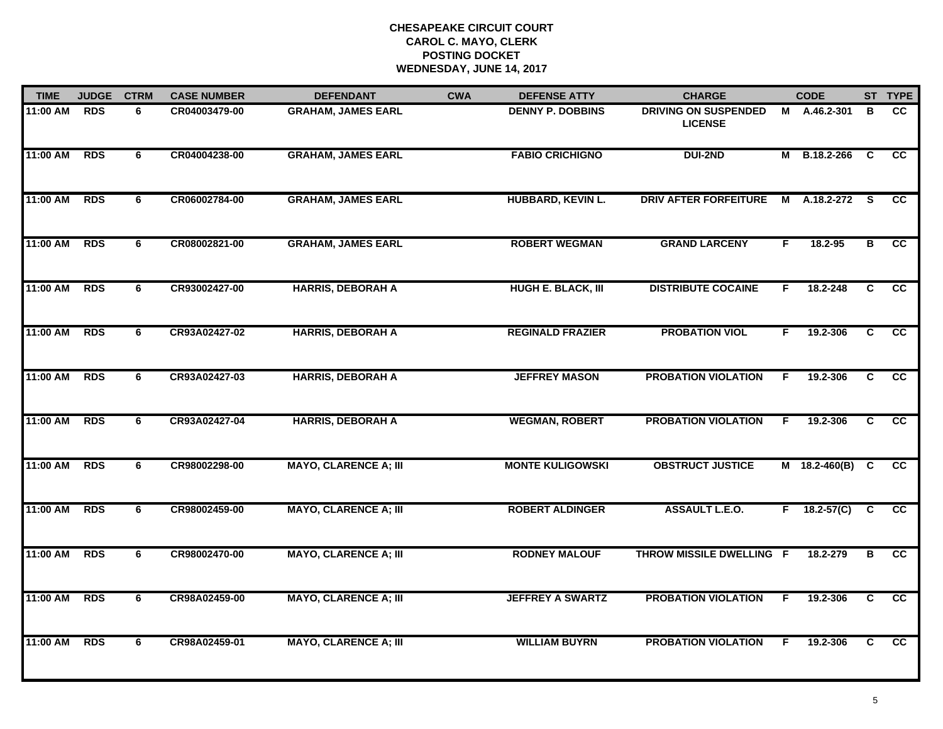| <b>TIME</b> | <b>JUDGE</b> | <b>CTRM</b> | <b>CASE NUMBER</b> | <b>DEFENDANT</b>             | <b>CWA</b> | <b>DEFENSE ATTY</b>       | <b>CHARGE</b>                                 |    | <b>CODE</b>     |                         | ST TYPE         |
|-------------|--------------|-------------|--------------------|------------------------------|------------|---------------------------|-----------------------------------------------|----|-----------------|-------------------------|-----------------|
| 11:00 AM    | <b>RDS</b>   | 6           | CR04003479-00      | <b>GRAHAM, JAMES EARL</b>    |            | <b>DENNY P. DOBBINS</b>   | <b>DRIVING ON SUSPENDED</b><br><b>LICENSE</b> | М  | A.46.2-301      | в                       | <b>CC</b>       |
| 11:00 AM    | <b>RDS</b>   | 6           | CR04004238-00      | <b>GRAHAM, JAMES EARL</b>    |            | <b>FABIO CRICHIGNO</b>    | <b>DUI-2ND</b>                                | М  | B.18.2-266      | C                       | <b>CC</b>       |
| 11:00 AM    | <b>RDS</b>   | 6           | CR06002784-00      | <b>GRAHAM, JAMES EARL</b>    |            | <b>HUBBARD, KEVIN L.</b>  | <b>DRIV AFTER FORFEITURE</b>                  | M  | A.18.2-272      | -S                      | <b>CC</b>       |
| 11:00 AM    | <b>RDS</b>   | 6           | CR08002821-00      | <b>GRAHAM, JAMES EARL</b>    |            | <b>ROBERT WEGMAN</b>      | <b>GRAND LARCENY</b>                          | F. | 18.2-95         | В                       | cc              |
| 11:00 AM    | <b>RDS</b>   | 6           | CR93002427-00      | <b>HARRIS, DEBORAH A</b>     |            | <b>HUGH E. BLACK, III</b> | <b>DISTRIBUTE COCAINE</b>                     | F. | 18.2-248        | C                       | <b>CC</b>       |
| 11:00 AM    | <b>RDS</b>   | 6           | CR93A02427-02      | <b>HARRIS, DEBORAH A</b>     |            | <b>REGINALD FRAZIER</b>   | <b>PROBATION VIOL</b>                         | F. | 19.2-306        | C                       | <b>CC</b>       |
| 11:00 AM    | <b>RDS</b>   | 6           | CR93A02427-03      | <b>HARRIS, DEBORAH A</b>     |            | <b>JEFFREY MASON</b>      | <b>PROBATION VIOLATION</b>                    | F. | 19.2-306        | $\overline{c}$          | $\overline{cc}$ |
| 11:00 AM    | <b>RDS</b>   | 6           | CR93A02427-04      | <b>HARRIS, DEBORAH A</b>     |            | <b>WEGMAN, ROBERT</b>     | <b>PROBATION VIOLATION</b>                    | F. | 19.2-306        | C                       | cc              |
| 11:00 AM    | <b>RDS</b>   | 6           | CR98002298-00      | <b>MAYO, CLARENCE A; III</b> |            | <b>MONTE KULIGOWSKI</b>   | <b>OBSTRUCT JUSTICE</b>                       |    | $M$ 18.2-460(B) | C                       | <b>CC</b>       |
| 11:00 AM    | <b>RDS</b>   | 6           | CR98002459-00      | <b>MAYO, CLARENCE A; III</b> |            | <b>ROBERT ALDINGER</b>    | <b>ASSAULT L.E.O.</b>                         | F. | $18.2 - 57(C)$  | C                       | cc              |
| 11:00 AM    | <b>RDS</b>   | 6           | CR98002470-00      | <b>MAYO, CLARENCE A; III</b> |            | <b>RODNEY MALOUF</b>      | THROW MISSILE DWELLING F                      |    | 18.2-279        | в                       | <b>CC</b>       |
| 11:00 AM    | <b>RDS</b>   | 6           | CR98A02459-00      | <b>MAYO, CLARENCE A; III</b> |            | <b>JEFFREY A SWARTZ</b>   | <b>PROBATION VIOLATION</b>                    | F. | 19.2-306        | $\overline{\mathbf{c}}$ | $\overline{cc}$ |
| 11:00 AM    | <b>RDS</b>   | -6          | CR98A02459-01      | <b>MAYO, CLARENCE A; III</b> |            | <b>WILLIAM BUYRN</b>      | <b>PROBATION VIOLATION</b>                    | F. | 19.2-306        | C                       | cc              |
|             |              |             |                    |                              |            |                           |                                               |    |                 |                         |                 |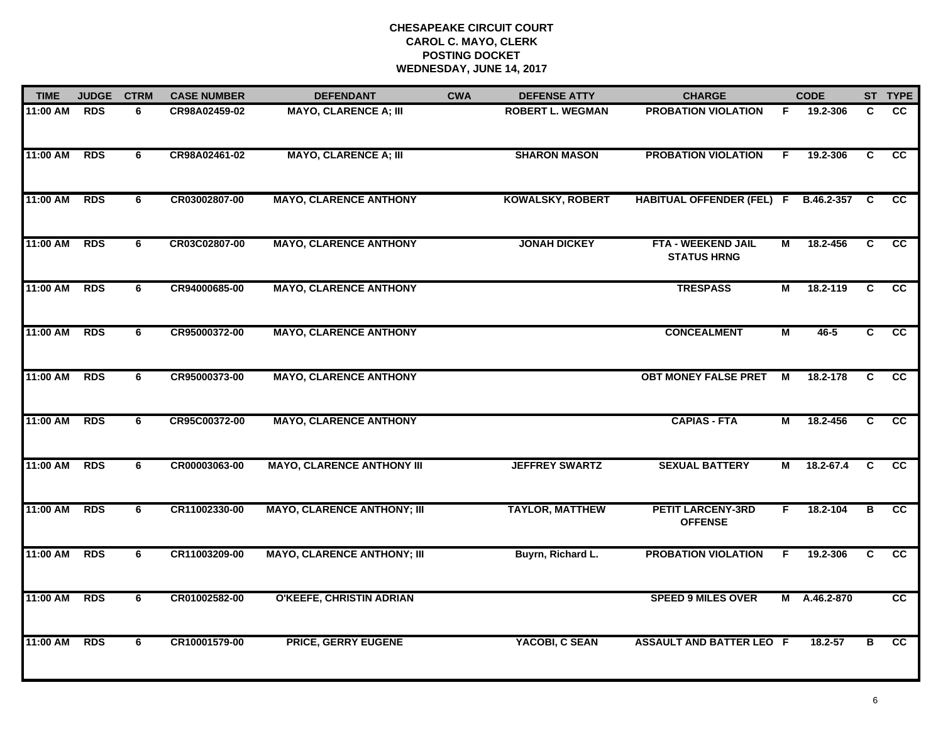| <b>TIME</b> | <b>JUDGE</b> | <b>CTRM</b>    | <b>CASE NUMBER</b> | <b>DEFENDANT</b>                   | <b>CWA</b> | <b>DEFENSE ATTY</b>     | <b>CHARGE</b>                                   |                | <b>CODE</b> |                | ST TYPE         |
|-------------|--------------|----------------|--------------------|------------------------------------|------------|-------------------------|-------------------------------------------------|----------------|-------------|----------------|-----------------|
| 11:00 AM    | <b>RDS</b>   | 6              | CR98A02459-02      | <b>MAYO, CLARENCE A; III</b>       |            | <b>ROBERT L. WEGMAN</b> | <b>PROBATION VIOLATION</b>                      | F.             | 19.2-306    | C              | <b>CC</b>       |
| 11:00 AM    | <b>RDS</b>   | 6              | CR98A02461-02      | <b>MAYO, CLARENCE A; III</b>       |            | <b>SHARON MASON</b>     | <b>PROBATION VIOLATION</b>                      | F              | 19.2-306    | C              | $\overline{cc}$ |
| 11:00 AM    | <b>RDS</b>   | 6              | CR03002807-00      | <b>MAYO, CLARENCE ANTHONY</b>      |            | <b>KOWALSKY, ROBERT</b> | <b>HABITUAL OFFENDER (FEL) F</b>                |                | B.46.2-357  | <b>C</b>       | cc              |
| 11:00 AM    | <b>RDS</b>   | 6              | CR03C02807-00      | <b>MAYO, CLARENCE ANTHONY</b>      |            | <b>JONAH DICKEY</b>     | <b>FTA - WEEKEND JAIL</b><br><b>STATUS HRNG</b> | М              | 18.2-456    | C              | <b>CC</b>       |
| 11:00 AM    | <b>RDS</b>   | 6              | CR94000685-00      | <b>MAYO, CLARENCE ANTHONY</b>      |            |                         | <b>TRESPASS</b>                                 | М              | 18.2-119    | C              | <b>CC</b>       |
| 11:00 AM    | <b>RDS</b>   | 6              | CR95000372-00      | <b>MAYO, CLARENCE ANTHONY</b>      |            |                         | <b>CONCEALMENT</b>                              | М              | 46-5        | C.             | cc              |
| 11:00 AM    | <b>RDS</b>   | 6              | CR95000373-00      | <b>MAYO, CLARENCE ANTHONY</b>      |            |                         | <b>OBT MONEY FALSE PRET</b>                     | M              | 18.2-178    | C              | <b>CC</b>       |
| 11:00 AM    | <b>RDS</b>   | 6              | CR95C00372-00      | <b>MAYO, CLARENCE ANTHONY</b>      |            |                         | <b>CAPIAS - FTA</b>                             | $\overline{M}$ | 18.2-456    | $\overline{c}$ | $\overline{cc}$ |
| 11:00 AM    | <b>RDS</b>   | 6              | CR00003063-00      | <b>MAYO, CLARENCE ANTHONY III</b>  |            | <b>JEFFREY SWARTZ</b>   | <b>SEXUAL BATTERY</b>                           | М              | 18.2-67.4   | C              | <b>CC</b>       |
| 11:00 AM    | <b>RDS</b>   | 6              | CR11002330-00      | <b>MAYO, CLARENCE ANTHONY; III</b> |            | <b>TAYLOR, MATTHEW</b>  | <b>PETIT LARCENY-3RD</b><br><b>OFFENSE</b>      | F.             | 18.2-104    | B              | <b>CC</b>       |
| 11:00 AM    | <b>RDS</b>   | 6              | CR11003209-00      | <b>MAYO, CLARENCE ANTHONY; III</b> |            | Buyrn, Richard L.       | <b>PROBATION VIOLATION</b>                      | F.             | 19.2-306    | C              | $\overline{cc}$ |
| 11:00 AM    | <b>RDS</b>   | $\overline{6}$ | CR01002582-00      | <b>O'KEEFE, CHRISTIN ADRIAN</b>    |            |                         | <b>SPEED 9 MILES OVER</b>                       | Μ              | A.46.2-870  |                | $\overline{cc}$ |
| 11:00 AM    | <b>RDS</b>   | 6              | CR10001579-00      | <b>PRICE, GERRY EUGENE</b>         |            | YACOBI, C SEAN          | <b>ASSAULT AND BATTER LEO F</b>                 |                | 18.2-57     | в              | cc              |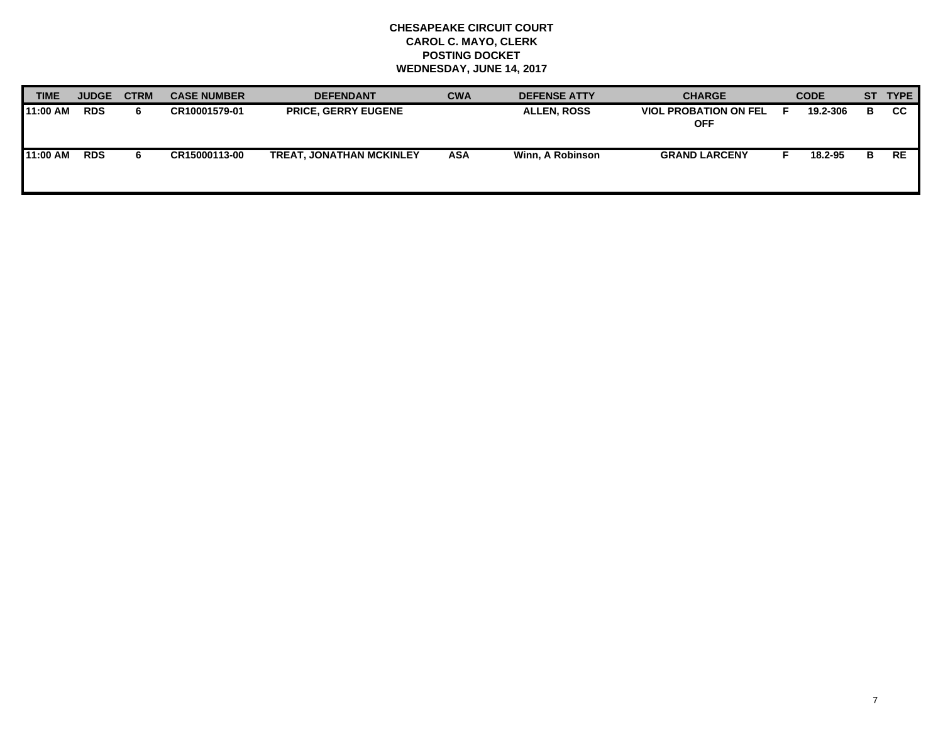| <b>TIME</b> | <b>JUDGE</b> | <b>CTRM</b> | <b>CASE NUMBER</b> | <b>DEFENDANT</b>                | <b>CWA</b> | <b>DEFENSE ATTY</b> | <b>CHARGE</b>                              | <b>CODE</b> | <b>ST</b> | <b>TYPE</b> |
|-------------|--------------|-------------|--------------------|---------------------------------|------------|---------------------|--------------------------------------------|-------------|-----------|-------------|
| 11:00 AM    | <b>RDS</b>   | 6.          | CR10001579-01      | <b>PRICE, GERRY EUGENE</b>      |            | <b>ALLEN, ROSS</b>  | <b>VIOL PROBATION ON FEL</b><br><b>OFF</b> | 19.2-306    | в         | <b>CC</b>   |
| 11:00 AM    | <b>RDS</b>   | 6.          | CR15000113-00      | <b>TREAT, JONATHAN MCKINLEY</b> | ASA        | Winn. A Robinson    | <b>GRAND LARCENY</b>                       | 18.2-95     | в         | <b>RE</b>   |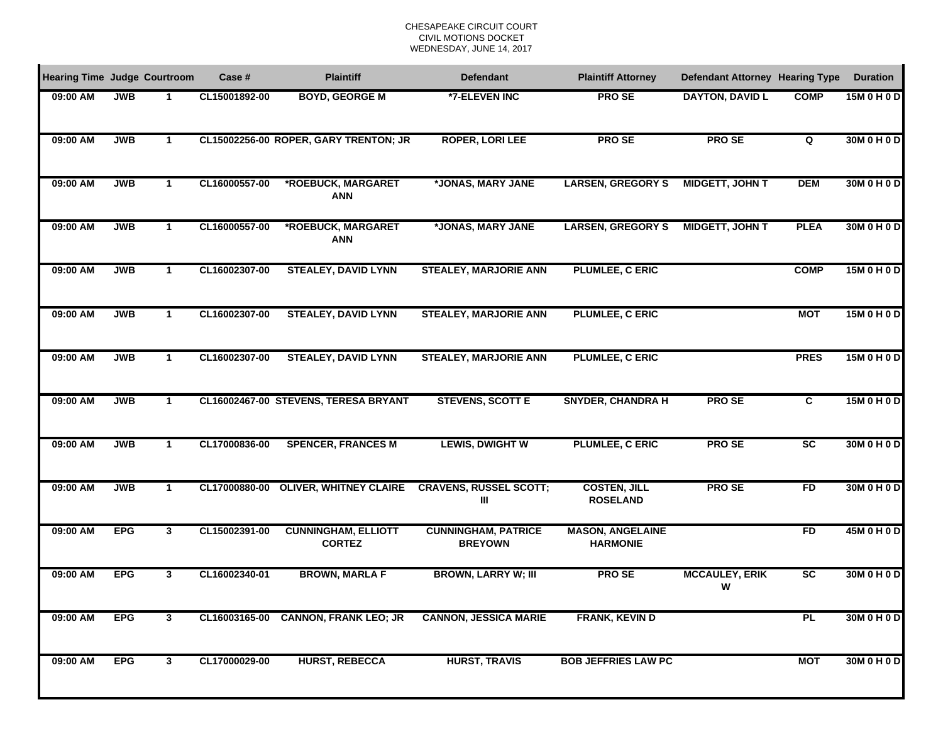| <b>Hearing Time Judge Courtroom</b> |            |              | Case #        | <b>Plaintiff</b>                            | <b>Defendant</b>                             | <b>Plaintiff Attorney</b>                  | <b>Defendant Attorney Hearing Type</b> |                        | <b>Duration</b> |
|-------------------------------------|------------|--------------|---------------|---------------------------------------------|----------------------------------------------|--------------------------------------------|----------------------------------------|------------------------|-----------------|
| 09:00 AM                            | <b>JWB</b> |              | CL15001892-00 | <b>BOYD, GEORGE M</b>                       | *7-ELEVEN INC                                | <b>PROSE</b>                               | <b>DAYTON, DAVID L</b>                 | <b>COMP</b>            | 15M 0 H 0 D     |
| 09:00 AM                            | <b>JWB</b> | 1            |               | CL15002256-00 ROPER, GARY TRENTON; JR       | <b>ROPER, LORI LEE</b>                       | <b>PROSE</b>                               | <b>PROSE</b>                           | Q                      | 30M 0 H 0 D     |
| 09:00 AM                            | <b>JWB</b> | 1            | CL16000557-00 | *ROEBUCK, MARGARET<br><b>ANN</b>            | *JONAS, MARY JANE                            | <b>LARSEN, GREGORY S</b>                   | <b>MIDGETT, JOHN T</b>                 | <b>DEM</b>             | 30M 0 H 0 D     |
| 09:00 AM                            | <b>JWB</b> | $\mathbf 1$  | CL16000557-00 | *ROEBUCK, MARGARET<br><b>ANN</b>            | *JONAS, MARY JANE                            | <b>LARSEN, GREGORY S</b>                   | <b>MIDGETT, JOHN T</b>                 | <b>PLEA</b>            | 30M 0 H 0 D     |
| 09:00 AM                            | <b>JWB</b> | $\mathbf{1}$ | CL16002307-00 | <b>STEALEY, DAVID LYNN</b>                  | <b>STEALEY, MARJORIE ANN</b>                 | <b>PLUMLEE, C ERIC</b>                     |                                        | <b>COMP</b>            | 15M 0 H 0 D     |
| 09:00 AM                            | <b>JWB</b> | 1            | CL16002307-00 | <b>STEALEY, DAVID LYNN</b>                  | <b>STEALEY, MARJORIE ANN</b>                 | PLUMLEE, C ERIC                            |                                        | <b>MOT</b>             | 15M 0 H 0 D     |
| 09:00 AM                            | <b>JWB</b> | $\mathbf{1}$ | CL16002307-00 | <b>STEALEY, DAVID LYNN</b>                  | <b>STEALEY, MARJORIE ANN</b>                 | <b>PLUMLEE, C ERIC</b>                     |                                        | <b>PRES</b>            | 15M 0 H 0 D     |
| 09:00 AM                            | <b>JWB</b> | $\mathbf{1}$ |               | CL16002467-00 STEVENS, TERESA BRYANT        | <b>STEVENS, SCOTT E</b>                      | <b>SNYDER, CHANDRA H</b>                   | <b>PROSE</b>                           | $\overline{c}$         | 15M 0 H 0 D     |
| 09:00 AM                            | <b>JWB</b> | $\mathbf{1}$ | CL17000836-00 | <b>SPENCER, FRANCES M</b>                   | <b>LEWIS, DWIGHT W</b>                       | <b>PLUMLEE, C ERIC</b>                     | <b>PROSE</b>                           | SC                     | 30M 0 H 0 D     |
| 09:00 AM                            | <b>JWB</b> | $\mathbf{1}$ | CL17000880-00 | <b>OLIVER, WHITNEY CLAIRE</b>               | <b>CRAVENS, RUSSEL SCOTT;</b><br>Ш           | <b>COSTEN, JILL</b><br><b>ROSELAND</b>     | <b>PROSE</b>                           | FD                     | 30M 0 H 0 D     |
| 09:00 AM                            | <b>EPG</b> | 3            | CL15002391-00 | <b>CUNNINGHAM, ELLIOTT</b><br><b>CORTEZ</b> | <b>CUNNINGHAM, PATRICE</b><br><b>BREYOWN</b> | <b>MASON, ANGELAINE</b><br><b>HARMONIE</b> |                                        | FD                     | 45M 0 H 0 D     |
| 09:00 AM                            | <b>EPG</b> | 3            | CL16002340-01 | <b>BROWN, MARLA F</b>                       | <b>BROWN, LARRY W; III</b>                   | <b>PROSE</b>                               | <b>MCCAULEY, ERIK</b><br>W             | $\overline{\text{sc}}$ | 30M 0 H 0 D     |
| 09:00 AM                            | <b>EPG</b> | 3            |               | CL16003165-00 CANNON, FRANK LEO; JR         | <b>CANNON, JESSICA MARIE</b>                 | <b>FRANK, KEVIN D</b>                      |                                        | <b>PL</b>              | 30M 0 H 0 D     |
| 09:00 AM                            | <b>EPG</b> | 3            | CL17000029-00 | <b>HURST, REBECCA</b>                       | <b>HURST, TRAVIS</b>                         | <b>BOB JEFFRIES LAW PC</b>                 |                                        | <b>MOT</b>             | 30M 0 H 0 D     |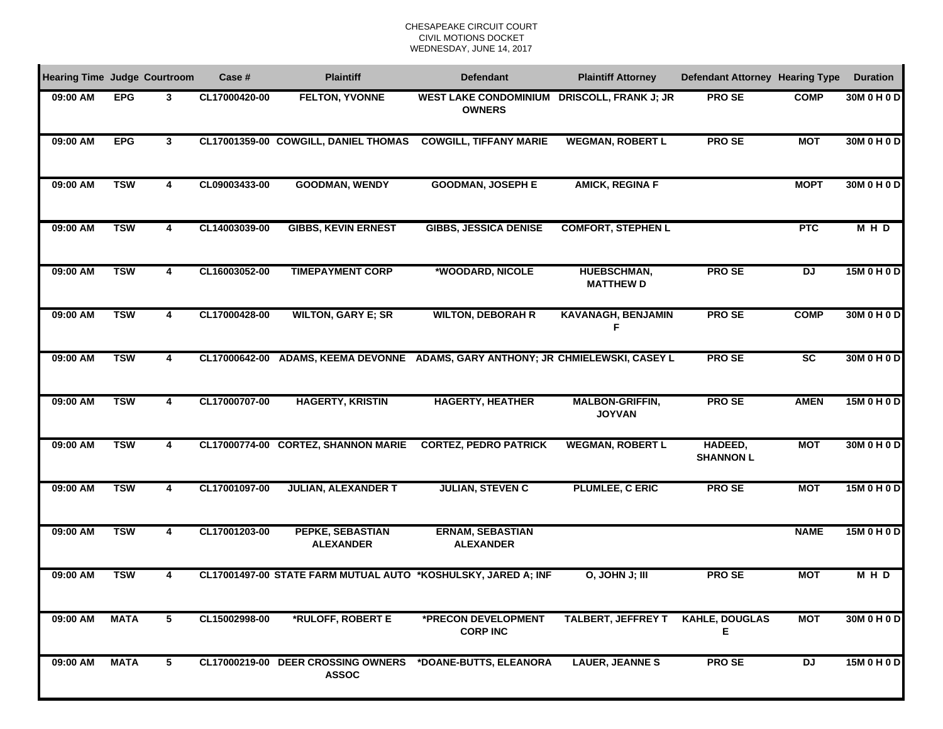| <b>Hearing Time Judge Courtroom</b> |             |   | Case #        | <b>Plaintiff</b>                                   | <b>Defendant</b>                                                                | <b>Plaintiff Attorney</b>               | <b>Defendant Attorney Hearing Type</b> |                | <b>Duration</b> |
|-------------------------------------|-------------|---|---------------|----------------------------------------------------|---------------------------------------------------------------------------------|-----------------------------------------|----------------------------------------|----------------|-----------------|
| 09:00 AM                            | <b>EPG</b>  | 3 | CL17000420-00 | <b>FELTON, YVONNE</b>                              | WEST LAKE CONDOMINIUM DRISCOLL, FRANK J; JR<br><b>OWNERS</b>                    |                                         | <b>PROSE</b>                           | <b>COMP</b>    | 30M 0 H 0 D     |
| 09:00 AM                            | <b>EPG</b>  | 3 |               | CL17001359-00 COWGILL, DANIEL THOMAS               | <b>COWGILL, TIFFANY MARIE</b>                                                   | <b>WEGMAN, ROBERT L</b>                 | <b>PROSE</b>                           | <b>MOT</b>     | 30M 0 H 0 D     |
| 09:00 AM                            | <b>TSW</b>  | 4 | CL09003433-00 | <b>GOODMAN, WENDY</b>                              | <b>GOODMAN, JOSEPH E</b>                                                        | <b>AMICK, REGINA F</b>                  |                                        | <b>MOPT</b>    | 30M 0 H 0 D     |
| 09:00 AM                            | <b>TSW</b>  | 4 | CL14003039-00 | <b>GIBBS, KEVIN ERNEST</b>                         | <b>GIBBS, JESSICA DENISE</b>                                                    | <b>COMFORT, STEPHEN L</b>               |                                        | <b>PTC</b>     | <b>MHD</b>      |
| 09:00 AM                            | <b>TSW</b>  | 4 | CL16003052-00 | <b>TIMEPAYMENT CORP</b>                            | *WOODARD, NICOLE                                                                | HUEBSCHMAN,<br><b>MATTHEW D</b>         | <b>PROSE</b>                           | <b>DJ</b>      | 15M 0 H 0 D     |
| 09:00 AM                            | <b>TSW</b>  | 4 | CL17000428-00 | <b>WILTON, GARY E; SR</b>                          | <b>WILTON, DEBORAH R</b>                                                        | <b>KAVANAGH, BENJAMIN</b><br>F          | <b>PROSE</b>                           | <b>COMP</b>    | 30M 0 H 0 D     |
| 09:00 AM                            | <b>TSW</b>  | 4 |               |                                                    | CL17000642-00 ADAMS, KEEMA DEVONNE ADAMS, GARY ANTHONY; JR CHMIELEWSKI, CASEY L |                                         | <b>PROSE</b>                           | SC             | 30M 0 H 0 D     |
| 09:00 AM                            | <b>TSW</b>  | 4 | CL17000707-00 | <b>HAGERTY, KRISTIN</b>                            | <b>HAGERTY, HEATHER</b>                                                         | <b>MALBON-GRIFFIN,</b><br><b>JOYVAN</b> | <b>PROSE</b>                           | <b>AMEN</b>    | 15M 0 H 0 D     |
| 09:00 AM                            | <b>TSW</b>  | 4 |               | CL17000774-00 CORTEZ, SHANNON MARIE                | <b>CORTEZ, PEDRO PATRICK</b>                                                    | <b>WEGMAN, ROBERT L</b>                 | HADEED,<br><b>SHANNON L</b>            | <b>MOT</b>     | 30M 0 H 0 D     |
| 09:00 AM                            | <b>TSW</b>  | 4 | CL17001097-00 | <b>JULIAN, ALEXANDER T</b>                         | <b>JULIAN, STEVEN C</b>                                                         | PLUMLEE, C ERIC                         | <b>PROSE</b>                           | <b>MOT</b>     | 15M 0 H 0 D     |
| 09:00 AM                            | <b>TSW</b>  | 4 | CL17001203-00 | PEPKE, SEBASTIAN<br><b>ALEXANDER</b>               | <b>ERNAM, SEBASTIAN</b><br><b>ALEXANDER</b>                                     |                                         |                                        | <b>NAME</b>    | 15M 0 H 0 D     |
| 09:00 AM                            | <b>TSW</b>  | 4 |               |                                                    | CL17001497-00 STATE FARM MUTUAL AUTO *KOSHULSKY, JARED A; INF                   | O, JOHN J; III                          | <b>PROSE</b>                           | <b>MOT</b>     | <b>MHD</b>      |
| 09:00 AM                            | <b>MATA</b> | 5 | CL15002998-00 | *RULOFF, ROBERT E                                  | *PRECON DEVELOPMENT<br><b>CORP INC</b>                                          | <b>TALBERT, JEFFREY T</b>               | <b>KAHLE, DOUGLAS</b><br>Е             | <b>MOT</b>     | 30M 0 H 0 D     |
| 09:00 AM                            | <b>MATA</b> | 5 |               | CL17000219-00 DEER CROSSING OWNERS<br><b>ASSOC</b> | *DOANE-BUTTS, ELEANORA                                                          | <b>LAUER, JEANNES</b>                   | <b>PROSE</b>                           | $\overline{D}$ | 15M 0 H 0 D     |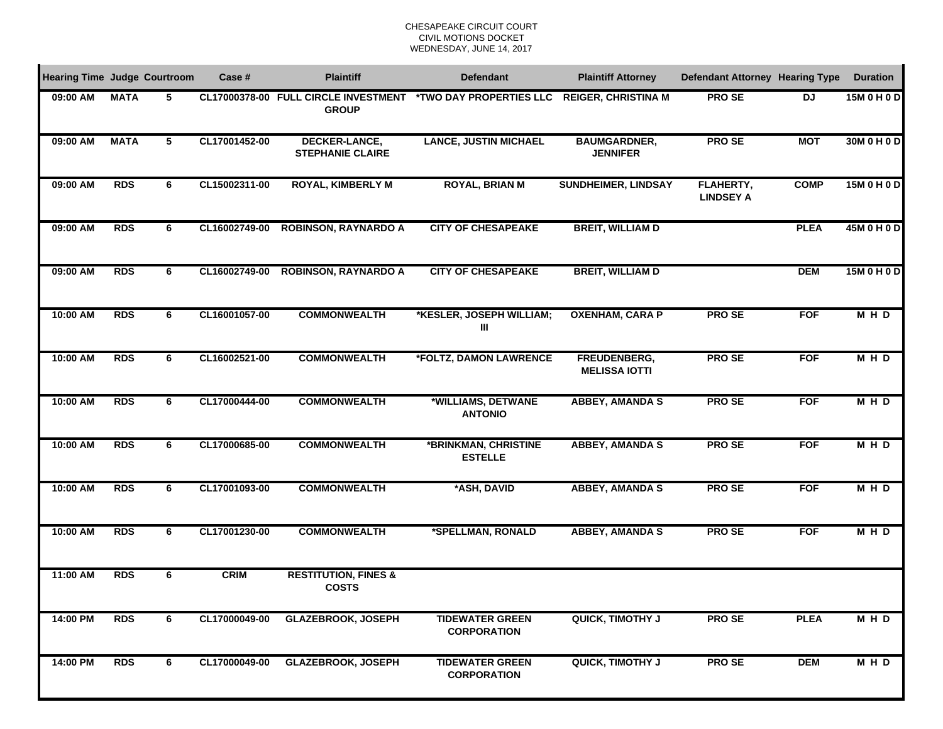| <b>Hearing Time Judge Courtroom</b> |             |   | Case #        | <b>Plaintiff</b>                                | <b>Defendant</b>                                                                 | <b>Plaintiff Attorney</b>              | <b>Defendant Attorney Hearing Type</b> |             | <b>Duration</b> |
|-------------------------------------|-------------|---|---------------|-------------------------------------------------|----------------------------------------------------------------------------------|----------------------------------------|----------------------------------------|-------------|-----------------|
| 09:00 AM                            | <b>MATA</b> | 5 |               | <b>GROUP</b>                                    | CL17000378-00 FULL CIRCLE INVESTMENT *TWO DAY PROPERTIES LLC REIGER, CHRISTINA M |                                        | <b>PROSE</b>                           | <b>DJ</b>   | 15M 0 H 0 D     |
| 09:00 AM                            | <b>MATA</b> | 5 | CL17001452-00 | DECKER-LANCE,<br><b>STEPHANIE CLAIRE</b>        | <b>LANCE, JUSTIN MICHAEL</b>                                                     | <b>BAUMGARDNER,</b><br><b>JENNIFER</b> | <b>PROSE</b>                           | <b>MOT</b>  | 30M 0 H 0 D     |
| 09:00 AM                            | <b>RDS</b>  | 6 | CL15002311-00 | <b>ROYAL, KIMBERLY M</b>                        | <b>ROYAL, BRIAN M</b>                                                            | <b>SUNDHEIMER, LINDSAY</b>             | <b>FLAHERTY,</b><br><b>LINDSEY A</b>   | <b>COMP</b> | 15M 0 H 0 D     |
| 09:00 AM                            | <b>RDS</b>  | 6 | CL16002749-00 | <b>ROBINSON, RAYNARDO A</b>                     | <b>CITY OF CHESAPEAKE</b>                                                        | <b>BREIT, WILLIAM D</b>                |                                        | <b>PLEA</b> | 45M 0 H 0 D     |
| 09:00 AM                            | <b>RDS</b>  | 6 | CL16002749-00 | <b>ROBINSON, RAYNARDO A</b>                     | <b>CITY OF CHESAPEAKE</b>                                                        | <b>BREIT, WILLIAM D</b>                |                                        | <b>DEM</b>  | 15M 0 H 0 D     |
| 10:00 AM                            | <b>RDS</b>  | 6 | CL16001057-00 | <b>COMMONWEALTH</b>                             | *KESLER, JOSEPH WILLIAM;<br>Ш                                                    | <b>OXENHAM, CARA P</b>                 | <b>PROSE</b>                           | <b>FOF</b>  | <b>MHD</b>      |
| 10:00 AM                            | <b>RDS</b>  | 6 | CL16002521-00 | <b>COMMONWEALTH</b>                             | *FOLTZ, DAMON LAWRENCE                                                           | FREUDENBERG,<br><b>MELISSA IOTTI</b>   | <b>PROSE</b>                           | <b>FOF</b>  | <b>MHD</b>      |
| 10:00 AM                            | <b>RDS</b>  | 6 | CL17000444-00 | <b>COMMONWEALTH</b>                             | *WILLIAMS, DETWANE<br><b>ANTONIO</b>                                             | <b>ABBEY, AMANDA S</b>                 | <b>PROSE</b>                           | <b>FOF</b>  | MHD             |
| 10:00 AM                            | <b>RDS</b>  | 6 | CL17000685-00 | <b>COMMONWEALTH</b>                             | *BRINKMAN, CHRISTINE<br><b>ESTELLE</b>                                           | <b>ABBEY, AMANDA S</b>                 | <b>PROSE</b>                           | <b>FOF</b>  | $M + D$         |
| 10:00 AM                            | <b>RDS</b>  | 6 | CL17001093-00 | <b>COMMONWEALTH</b>                             | *ASH, DAVID                                                                      | <b>ABBEY, AMANDA S</b>                 | <b>PROSE</b>                           | <b>FOF</b>  | <b>MHD</b>      |
| 10:00 AM                            | <b>RDS</b>  | 6 | CL17001230-00 | <b>COMMONWEALTH</b>                             | *SPELLMAN, RONALD                                                                | <b>ABBEY, AMANDA S</b>                 | <b>PROSE</b>                           | <b>FOF</b>  | <b>MHD</b>      |
| 11:00 AM                            | <b>RDS</b>  | 6 | <b>CRIM</b>   | <b>RESTITUTION, FINES &amp;</b><br><b>COSTS</b> |                                                                                  |                                        |                                        |             |                 |
| 14:00 PM                            | <b>RDS</b>  | 6 | CL17000049-00 | <b>GLAZEBROOK, JOSEPH</b>                       | <b>TIDEWATER GREEN</b><br><b>CORPORATION</b>                                     | <b>QUICK, TIMOTHY J</b>                | <b>PROSE</b>                           | <b>PLEA</b> | <b>MHD</b>      |
| 14:00 PM                            | <b>RDS</b>  | 6 | CL17000049-00 | <b>GLAZEBROOK, JOSEPH</b>                       | <b>TIDEWATER GREEN</b><br><b>CORPORATION</b>                                     | <b>QUICK, TIMOTHY J</b>                | <b>PROSE</b>                           | <b>DEM</b>  | <b>MHD</b>      |